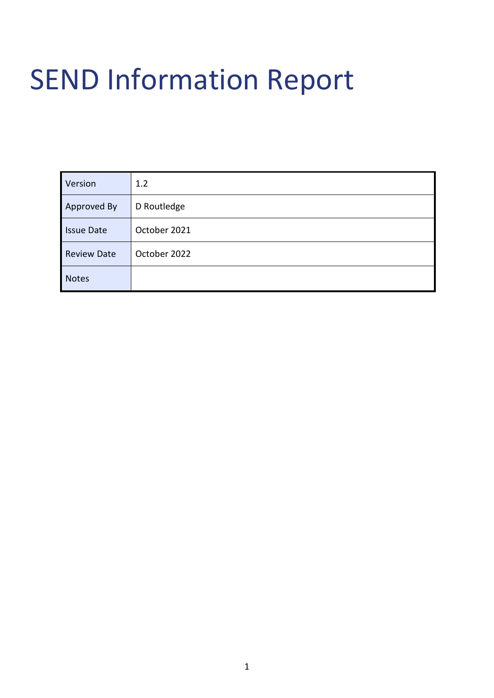# SEND Information Report

| Version            | 1.2          |
|--------------------|--------------|
| Approved By        | D Routledge  |
| <b>Issue Date</b>  | October 2021 |
| <b>Review Date</b> | October 2022 |
| <b>Notes</b>       |              |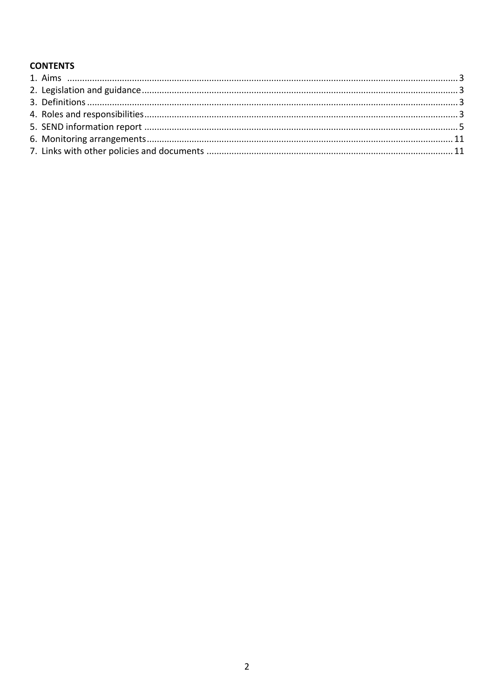# **CONTENTS**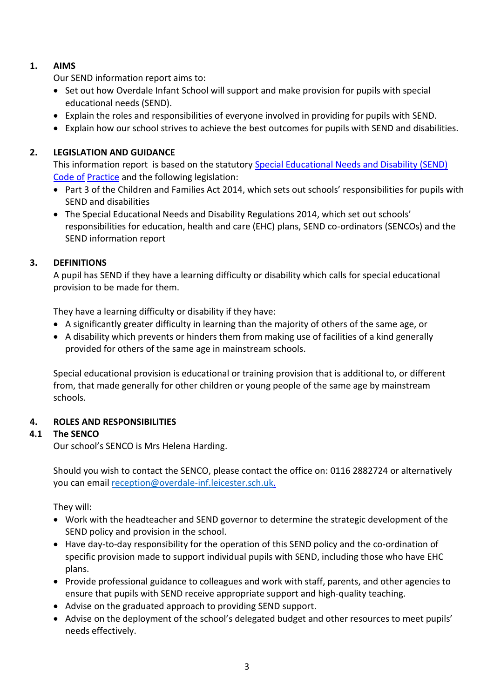# <span id="page-2-0"></span>**1. AIMS**

Our SEND information report aims to:

- Set out how Overdale Infant School will support and make provision for pupils with special educational needs (SEND).
- Explain the roles and responsibilities of everyone involved in providing for pupils with SEND.
- Explain how our school strives to achieve the best outcomes for pupils with SEND and disabilities.

# <span id="page-2-1"></span>**2. LEGISLATION AND GUIDANCE**

This information report is based on the statutory [Special Educational Needs and Disability \(SEND\)](https://www.gov.uk/government/uploads/system/uploads/attachment_data/file/398815/SEND_Code_of_Practice_January_2015.pdf)  [Code of](https://www.gov.uk/government/uploads/system/uploads/attachment_data/file/398815/SEND_Code_of_Practice_January_2015.pdf) [Practice](https://www.gov.uk/government/uploads/system/uploads/attachment_data/file/398815/SEND_Code_of_Practice_January_2015.pdf) [a](https://www.gov.uk/government/uploads/system/uploads/attachment_data/file/398815/SEND_Code_of_Practice_January_2015.pdf)nd the following legislation:

- [Part 3 of the Children and Families Act 2014,](http://www.legislation.gov.uk/ukpga/2014/6/part/3) which sets out schools' responsibilities for pupils with SEND and disabilities
- [The Special Educational Needs and Disability Regulations 2014,](http://www.legislation.gov.uk/uksi/2014/1530/contents/made) which set out schools' responsibilities for education, health and care (EHC) plans, SEND co-ordinators (SENCOs) and the SEND information report

# <span id="page-2-2"></span>**3. DEFINITIONS**

A pupil has SEND if they have a learning difficulty or disability which calls for special educational provision to be made for them.

They have a learning difficulty or disability if they have:

- A significantly greater difficulty in learning than the majority of others of the same age, or
- A disability which prevents or hinders them from making use of facilities of a kind generally provided for others of the same age in mainstream schools.

Special educational provision is educational or training provision that is additional to, or different from, that made generally for other children or young people of the same age by mainstream schools.

# <span id="page-2-3"></span>**4. ROLES AND RESPONSIBILITIES**

# **4.1 The SENCO**

Our school's SENCO is Mrs Helena Harding.

Should you wish to contact the SENCO, please contact the office on: 0116 2882724 or alternatively you can email [reception@overdale-inf.leicester.sch.uk.](mailto:reception@overdale-inf.leicester.sch.uk)

They will:

- Work with the headteacher and SEND governor to determine the strategic development of the SEND policy and provision in the school.
- Have day-to-day responsibility for the operation of this SEND policy and the co-ordination of specific provision made to support individual pupils with SEND, including those who have EHC plans.
- Provide professional guidance to colleagues and work with staff, parents, and other agencies to ensure that pupils with SEND receive appropriate support and high-quality teaching.
- Advise on the graduated approach to providing SEND support.
- Advise on the deployment of the school's delegated budget and other resources to meet pupils' needs effectively.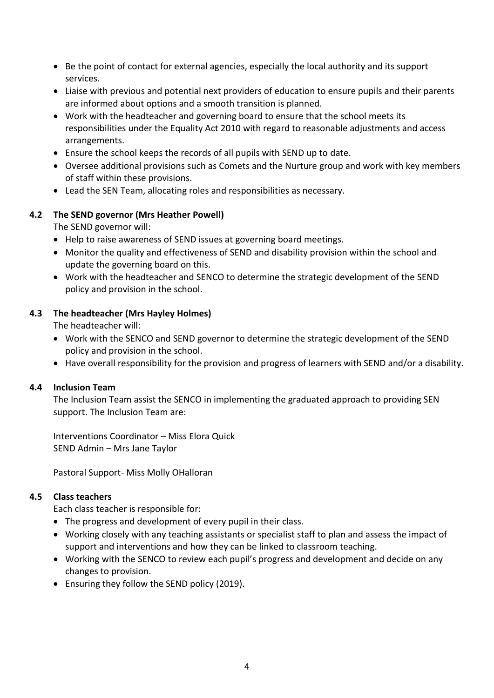- Be the point of contact for external agencies, especially the local authority and its support services.
- Liaise with previous and potential next providers of education to ensure pupils and their parents are informed about options and a smooth transition is planned.
- Work with the headteacher and governing board to ensure that the school meets its responsibilities under the Equality Act 2010 with regard to reasonable adjustments and access arrangements.
- Ensure the school keeps the records of all pupils with SEND up to date.
- Oversee additional provisions such as Comets and the Nurture group and work with key members of staff within these provisions.
- Lead the SEN Team, allocating roles and responsibilities as necessary.

# **4.2 The SEND governor (Mrs Heather Powell)**

The SEND governor will:

- Help to raise awareness of SEND issues at governing board meetings.
- Monitor the quality and effectiveness of SEND and disability provision within the school and update the governing board on this.
- Work with the headteacher and SENCO to determine the strategic development of the SEND policy and provision in the school.

#### **4.3 The headteacher (Mrs Hayley Holmes)**

The headteacher will:

- Work with the SENCO and SEND governor to determine the strategic development of the SEND policy and provision in the school.
- Have overall responsibility for the provision and progress of learners with SEND and/or a disability.

#### **4.4 Inclusion Team**

The Inclusion Team assist the SENCO in implementing the graduated approach to providing SEN support. The Inclusion Team are:

Interventions Coordinator – Miss Elora Quick SEND Admin – Mrs Jane Taylor

Pastoral Support- Miss Molly OHalloran

#### **4.5 Class teachers**

Each class teacher is responsible for:

- The progress and development of every pupil in their class.
- Working closely with any teaching assistants or specialist staff to plan and assess the impact of support and interventions and how they can be linked to classroom teaching.
- Working with the SENCO to review each pupil's progress and development and decide on any changes to provision.
- Ensuring they follow the SEND policy (2019).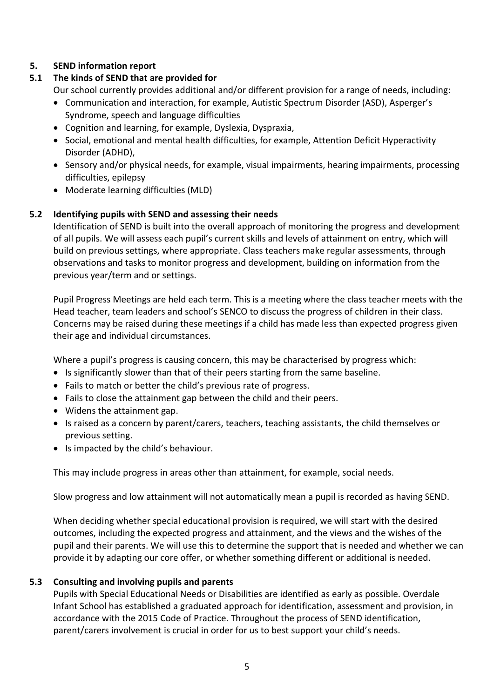# <span id="page-4-0"></span>**5. SEND information report**

# **5.1 The kinds of SEND that are provided for**

Our school currently provides additional and/or different provision for a range of needs, including:

- Communication and interaction, for example, Autistic Spectrum Disorder (ASD), Asperger's Syndrome, speech and language difficulties
- Cognition and learning, for example, Dyslexia, Dyspraxia,
- Social, emotional and mental health difficulties, for example, Attention Deficit Hyperactivity Disorder (ADHD),
- Sensory and/or physical needs, for example, visual impairments, hearing impairments, processing difficulties, epilepsy
- Moderate learning difficulties (MLD)

# **5.2 Identifying pupils with SEND and assessing their needs**

Identification of SEND is built into the overall approach of monitoring the progress and development of all pupils. We will assess each pupil's current skills and levels of attainment on entry, which will build on previous settings, where appropriate. Class teachers make regular assessments, through observations and tasks to monitor progress and development, building on information from the previous year/term and or settings.

Pupil Progress Meetings are held each term. This is a meeting where the class teacher meets with the Head teacher, team leaders and school's SENCO to discuss the progress of children in their class. Concerns may be raised during these meetings if a child has made less than expected progress given their age and individual circumstances.

Where a pupil's progress is causing concern, this may be characterised by progress which:

- Is significantly slower than that of their peers starting from the same baseline.
- Fails to match or better the child's previous rate of progress.
- Fails to close the attainment gap between the child and their peers.
- Widens the attainment gap.
- Is raised as a concern by parent/carers, teachers, teaching assistants, the child themselves or previous setting.
- Is impacted by the child's behaviour.

This may include progress in areas other than attainment, for example, social needs.

Slow progress and low attainment will not automatically mean a pupil is recorded as having SEND.

When deciding whether special educational provision is required, we will start with the desired outcomes, including the expected progress and attainment, and the views and the wishes of the pupil and their parents. We will use this to determine the support that is needed and whether we can provide it by adapting our core offer, or whether something different or additional is needed.

# **5.3 Consulting and involving pupils and parents**

Pupils with Special Educational Needs or Disabilities are identified as early as possible. Overdale Infant School has established a graduated approach for identification, assessment and provision, in accordance with the 2015 Code of Practice. Throughout the process of SEND identification, parent/carers involvement is crucial in order for us to best support your child's needs.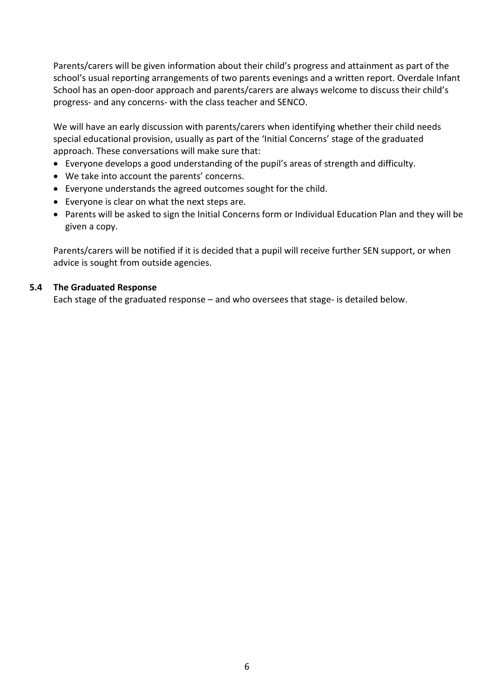Parents/carers will be given information about their child's progress and attainment as part of the school's usual reporting arrangements of two parents evenings and a written report. Overdale Infant School has an open-door approach and parents/carers are always welcome to discuss their child's progress- and any concerns- with the class teacher and SENCO.

We will have an early discussion with parents/carers when identifying whether their child needs special educational provision, usually as part of the 'Initial Concerns' stage of the graduated approach. These conversations will make sure that:

- Everyone develops a good understanding of the pupil's areas of strength and difficulty.
- We take into account the parents' concerns.
- Everyone understands the agreed outcomes sought for the child.
- Everyone is clear on what the next steps are.
- Parents will be asked to sign the Initial Concerns form or Individual Education Plan and they will be given a copy.

Parents/carers will be notified if it is decided that a pupil will receive further SEN support, or when advice is sought from outside agencies.

#### **5.4 The Graduated Response**

Each stage of the graduated response – and who oversees that stage- is detailed below.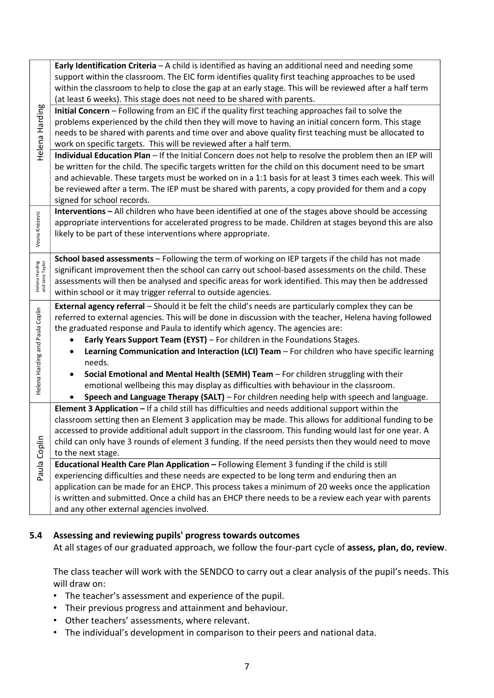|                                   | Early Identification Criteria - A child is identified as having an additional need and needing some<br>support within the classroom. The EIC form identifies quality first teaching approaches to be used<br>within the classroom to help to close the gap at an early stage. This will be reviewed after a half term<br>(at least 6 weeks). This stage does not need to be shared with parents.                                                                                                                                                                                                                                                                                                                                                                 |
|-----------------------------------|------------------------------------------------------------------------------------------------------------------------------------------------------------------------------------------------------------------------------------------------------------------------------------------------------------------------------------------------------------------------------------------------------------------------------------------------------------------------------------------------------------------------------------------------------------------------------------------------------------------------------------------------------------------------------------------------------------------------------------------------------------------|
| Helena Harding                    | Initial Concern - Following from an EIC if the quality first teaching approaches fail to solve the<br>problems experienced by the child then they will move to having an initial concern form. This stage<br>needs to be shared with parents and time over and above quality first teaching must be allocated to<br>work on specific targets. This will be reviewed after a half term.<br>Individual Education Plan - If the Initial Concern does not help to resolve the problem then an IEP will                                                                                                                                                                                                                                                               |
|                                   | be written for the child. The specific targets written for the child on this document need to be smart<br>and achievable. These targets must be worked on in a 1:1 basis for at least 3 times each week. This will<br>be reviewed after a term. The IEP must be shared with parents, a copy provided for them and a copy<br>signed for school records.                                                                                                                                                                                                                                                                                                                                                                                                           |
| Vesna Knezevic                    | Interventions - All children who have been identified at one of the stages above should be accessing<br>appropriate interventions for accelerated progress to be made. Children at stages beyond this are also<br>likely to be part of these interventions where appropriate.                                                                                                                                                                                                                                                                                                                                                                                                                                                                                    |
| Helena Harding<br>and Jane Taylor | School based assessments - Following the term of working on IEP targets if the child has not made<br>significant improvement then the school can carry out school-based assessments on the child. These<br>assessments will then be analysed and specific areas for work identified. This may then be addressed<br>within school or it may trigger referral to outside agencies.                                                                                                                                                                                                                                                                                                                                                                                 |
| Helena Harding and Paula Coplin   | External agency referral - Should it be felt the child's needs are particularly complex they can be<br>referred to external agencies. This will be done in discussion with the teacher, Helena having followed<br>the graduated response and Paula to identify which agency. The agencies are:<br>Early Years Support Team (EYST) - For children in the Foundations Stages.<br>Learning Communication and Interaction (LCI) Team - For children who have specific learning<br>needs.<br>Social Emotional and Mental Health (SEMH) Team - For children struggling with their<br>emotional wellbeing this may display as difficulties with behaviour in the classroom.<br>Speech and Language Therapy (SALT) - For children needing help with speech and language. |
|                                   | Element 3 Application - If a child still has difficulties and needs additional support within the<br>classroom setting then an Element 3 application may be made. This allows for additional funding to be<br>accessed to provide additional adult support in the classroom. This funding would last for one year. A<br>child can only have 3 rounds of element 3 funding. If the need persists then they would need to move<br>to the next stage.                                                                                                                                                                                                                                                                                                               |
| Paula Coplin                      | Educational Health Care Plan Application - Following Element 3 funding if the child is still<br>experiencing difficulties and these needs are expected to be long term and enduring then an<br>application can be made for an EHCP. This process takes a minimum of 20 weeks once the application<br>is written and submitted. Once a child has an EHCP there needs to be a review each year with parents<br>and any other external agencies involved.                                                                                                                                                                                                                                                                                                           |

# **5.4 Assessing and reviewing pupils' progress towards outcomes**

At all stages of our graduated approach, we follow the four-part cycle of **assess, plan, do, review**.

The class teacher will work with the SENDCO to carry out a clear analysis of the pupil's needs. This will draw on:

- The teacher's assessment and experience of the pupil.
- Their previous progress and attainment and behaviour.
- Other teachers' assessments, where relevant.
- The individual's development in comparison to their peers and national data.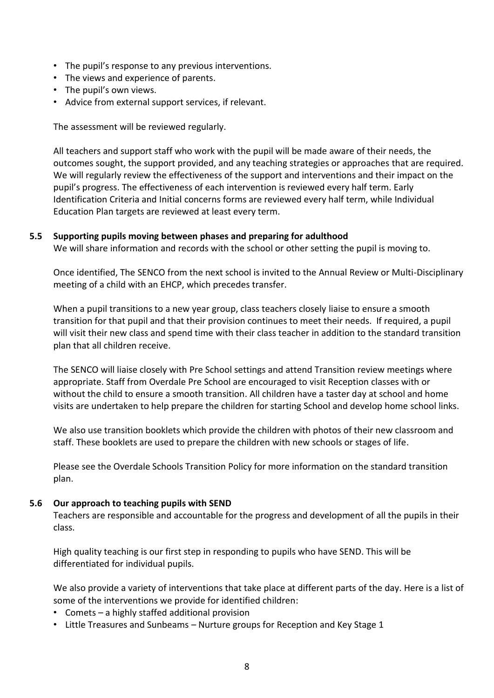- The pupil's response to any previous interventions.
- The views and experience of parents.
- The pupil's own views.
- Advice from external support services, if relevant.

The assessment will be reviewed regularly.

All teachers and support staff who work with the pupil will be made aware of their needs, the outcomes sought, the support provided, and any teaching strategies or approaches that are required. We will regularly review the effectiveness of the support and interventions and their impact on the pupil's progress. The effectiveness of each intervention is reviewed every half term. Early Identification Criteria and Initial concerns forms are reviewed every half term, while Individual Education Plan targets are reviewed at least every term.

#### **5.5 Supporting pupils moving between phases and preparing for adulthood**

We will share information and records with the school or other setting the pupil is moving to.

Once identified, The SENCO from the next school is invited to the Annual Review or Multi-Disciplinary meeting of a child with an EHCP, which precedes transfer.

When a pupil transitions to a new year group, class teachers closely liaise to ensure a smooth transition for that pupil and that their provision continues to meet their needs. If required, a pupil will visit their new class and spend time with their class teacher in addition to the standard transition plan that all children receive.

The SENCO will liaise closely with Pre School settings and attend Transition review meetings where appropriate. Staff from Overdale Pre School are encouraged to visit Reception classes with or without the child to ensure a smooth transition. All children have a taster day at school and home visits are undertaken to help prepare the children for starting School and develop home school links.

We also use transition booklets which provide the children with photos of their new classroom and staff. These booklets are used to prepare the children with new schools or stages of life.

Please see the Overdale Schools Transition Policy for more information on the standard transition plan.

#### **5.6 Our approach to teaching pupils with SEND**

Teachers are responsible and accountable for the progress and development of all the pupils in their class.

High quality teaching is our first step in responding to pupils who have SEND. This will be differentiated for individual pupils.

We also provide a variety of interventions that take place at different parts of the day. Here is a list of some of the interventions we provide for identified children:

- Comets a highly staffed additional provision
- Little Treasures and Sunbeams Nurture groups for Reception and Key Stage 1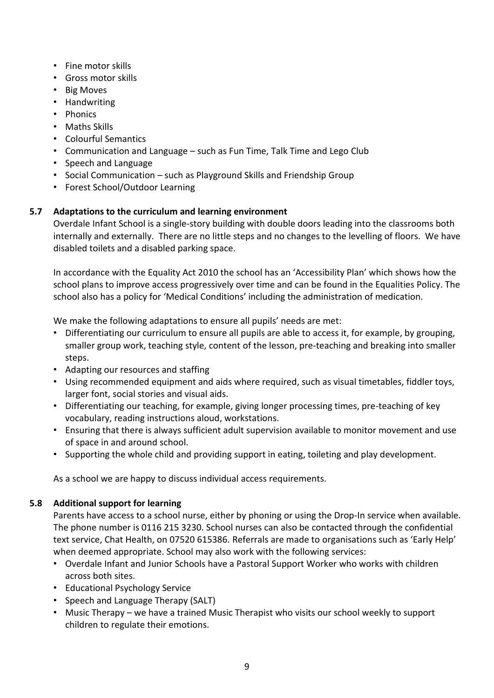- Fine motor skills
- Gross motor skills
- Big Moves
- Handwriting
- Phonics
- Maths Skills
- Colourful Semantics
- Communication and Language such as Fun Time, Talk Time and Lego Club
- Speech and Language
- Social Communication such as Playground Skills and Friendship Group
- Forest School/Outdoor Learning

# **5.7 Adaptations to the curriculum and learning environment**

Overdale Infant School is a single-story building with double doors leading into the classrooms both internally and externally. There are no little steps and no changes to the levelling of floors. We have disabled toilets and a disabled parking space.

In accordance with the Equality Act 2010 the school has an 'Accessibility Plan' which shows how the school plans to improve access progressively over time and can be found in the Equalities Policy. The school also has a policy for 'Medical Conditions' including the administration of medication.

We make the following adaptations to ensure all pupils' needs are met:

- Differentiating our curriculum to ensure all pupils are able to access it, for example, by grouping, smaller group work, teaching style, content of the lesson, pre-teaching and breaking into smaller steps.
- Adapting our resources and staffing
- Using recommended equipment and aids where required, such as visual timetables, fiddler toys, larger font, social stories and visual aids.
- Differentiating our teaching, for example, giving longer processing times, pre-teaching of key vocabulary, reading instructions aloud, workstations.
- Ensuring that there is always sufficient adult supervision available to monitor movement and use of space in and around school.
- Supporting the whole child and providing support in eating, toileting and play development.

As a school we are happy to discuss individual access requirements.

# **5.8 Additional support for learning**

Parents have access to a school nurse, either by phoning or using the Drop-In service when available. The phone number is 0116 215 3230. School nurses can also be contacted through the confidential text service, Chat Health, on 07520 615386. Referrals are made to organisations such as 'Early Help' when deemed appropriate. School may also work with the following services:

- Overdale Infant and Junior Schools have a Pastoral Support Worker who works with children across both sites.
- Educational Psychology Service
- Speech and Language Therapy (SALT)
- Music Therapy we have a trained Music Therapist who visits our school weekly to support children to regulate their emotions.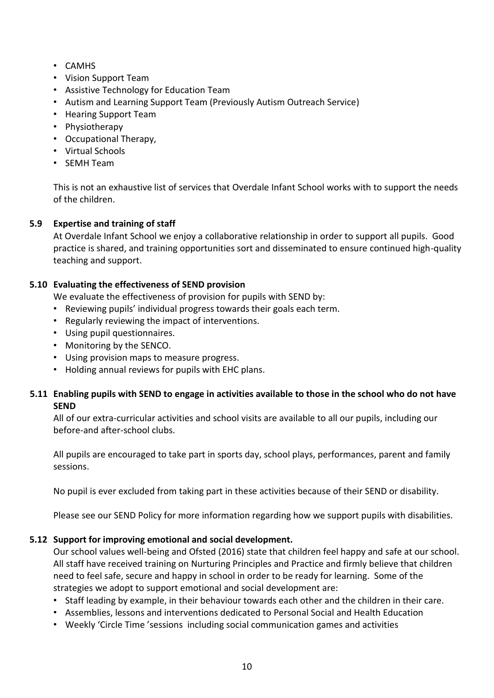- CAMHS
- Vision Support Team
- Assistive Technology for Education Team
- Autism and Learning Support Team (Previously Autism Outreach Service)
- Hearing Support Team
- Physiotherapy
- Occupational Therapy,
- Virtual Schools
- SEMH Team

This is not an exhaustive list of services that Overdale Infant School works with to support the needs of the children.

# **5.9 Expertise and training of staff**

At Overdale Infant School we enjoy a collaborative relationship in order to support all pupils. Good practice is shared, and training opportunities sort and disseminated to ensure continued high-quality teaching and support.

# **5.10 Evaluating the effectiveness of SEND provision**

We evaluate the effectiveness of provision for pupils with SEND by:

- Reviewing pupils' individual progress towards their goals each term.
- Regularly reviewing the impact of interventions.
- Using pupil questionnaires.
- Monitoring by the SENCO.
- Using provision maps to measure progress.
- Holding annual reviews for pupils with EHC plans.

# **5.11 Enabling pupils with SEND to engage in activities available to those in the school who do not have SEND**

All of our extra-curricular activities and school visits are available to all our pupils, including our before-and after-school clubs.

All pupils are encouraged to take part in sports day, school plays, performances, parent and family sessions.

No pupil is ever excluded from taking part in these activities because of their SEND or disability.

Please see our SEND Policy for more information regarding how we support pupils with disabilities.

# **5.12 Support for improving emotional and social development.**

Our school values well-being and Ofsted (2016) state that children feel happy and safe at our school. All staff have received training on Nurturing Principles and Practice and firmly believe that children need to feel safe, secure and happy in school in order to be ready for learning. Some of the strategies we adopt to support emotional and social development are:

- Staff leading by example, in their behaviour towards each other and the children in their care.
- Assemblies, lessons and interventions dedicated to Personal Social and Health Education
- Weekly 'Circle Time 'sessions including social communication games and activities